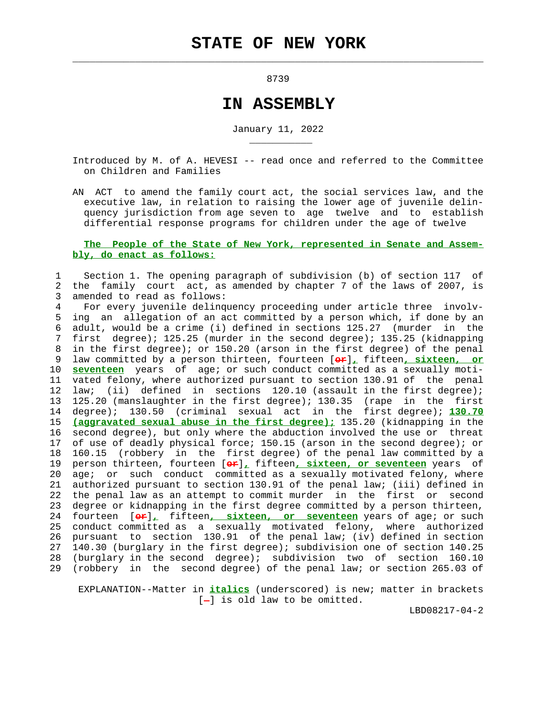$\mathcal{L}_\text{max} = \frac{1}{2} \sum_{i=1}^{n} \frac{1}{2} \sum_{i=1}^{n} \frac{1}{2} \sum_{i=1}^{n} \frac{1}{2} \sum_{i=1}^{n} \frac{1}{2} \sum_{i=1}^{n} \frac{1}{2} \sum_{i=1}^{n} \frac{1}{2} \sum_{i=1}^{n} \frac{1}{2} \sum_{i=1}^{n} \frac{1}{2} \sum_{i=1}^{n} \frac{1}{2} \sum_{i=1}^{n} \frac{1}{2} \sum_{i=1}^{n} \frac{1}{2} \sum_{i=1}^{n} \frac{1$ 

\_\_\_\_\_\_\_\_\_\_\_

8739

## **IN ASSEMBLY**

January 11, 2022

 Introduced by M. of A. HEVESI -- read once and referred to the Committee on Children and Families

 AN ACT to amend the family court act, the social services law, and the executive law, in relation to raising the lower age of juvenile delin quency jurisdiction from age seven to age twelve and to establish differential response programs for children under the age of twelve

## **The People of the State of New York, represented in Senate and Assem bly, do enact as follows:**

 1 Section 1. The opening paragraph of subdivision (b) of section 117 of 2 the family court act, as amended by chapter 7 of the laws of 2007, is 3 amended to read as follows:

 4 For every juvenile delinquency proceeding under article three involv- 5 ing an allegation of an act committed by a person which, if done by an 6 adult, would be a crime (i) defined in sections 125.27 (murder in the 7 first degree); 125.25 (murder in the second degree); 135.25 (kidnapping 8 in the first degree); or 150.20 (arson in the first degree) of the penal 9 law committed by a person thirteen, fourteen [**or**]**,** fifteen**, sixteen, or** 10 **seventeen** years of age; or such conduct committed as a sexually moti- 11 vated felony, where authorized pursuant to section 130.91 of the penal 12 law; (ii) defined in sections 120.10 (assault in the first degree); 13 125.20 (manslaughter in the first degree); 130.35 (rape in the first 14 degree); 130.50 (criminal sexual act in the first degree); **130.70** 15 **(aggravated sexual abuse in the first degree);** 135.20 (kidnapping in the 16 second degree), but only where the abduction involved the use or threat 17 of use of deadly physical force; 150.15 (arson in the second degree); or 18 160.15 (robbery in the first degree) of the penal law committed by a 19 person thirteen, fourteen [**or**]**,** fifteen**, sixteen, or seventeen** years of 20 age; or such conduct committed as a sexually motivated felony, where 21 authorized pursuant to section 130.91 of the penal law; (iii) defined in 22 the penal law as an attempt to commit murder in the first or second 23 degree or kidnapping in the first degree committed by a person thirteen, 24 fourteen [**or**]**,** fifteen**, sixteen, or seventeen** years of age; or such 25 conduct committed as a sexually motivated felony, where authorized 26 pursuant to section 130.91 of the penal law; (iv) defined in section 27 140.30 (burglary in the first degree); subdivision one of section 140.25 28 (burglary in the second degree); subdivision two of section 160.10 29 (robbery in the second degree) of the penal law; or section 265.03 of

 EXPLANATION--Matter in **italics** (underscored) is new; matter in brackets  $[-]$  is old law to be omitted.

LBD08217-04-2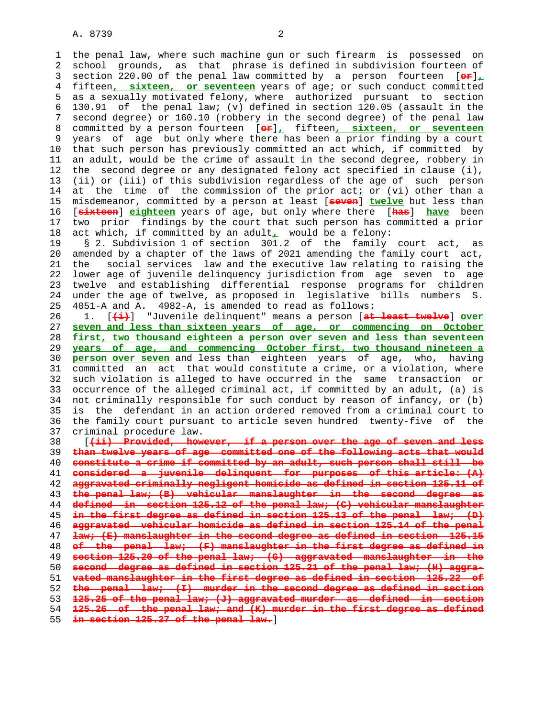1 the penal law, where such machine gun or such firearm is possessed on 2 school grounds, as that phrase is defined in subdivision fourteen of 3 section 220.00 of the penal law committed by a person fourteen [**or**]**,** 4 fifteen**, sixteen, or seventeen** years of age; or such conduct committed 5 as a sexually motivated felony, where authorized pursuant to section 6 130.91 of the penal law; (v) defined in section 120.05 (assault in the 7 second degree) or 160.10 (robbery in the second degree) of the penal law 8 committed by a person fourteen [**or**]**,** fifteen**, sixteen, or seventeen** 9 years of age but only where there has been a prior finding by a court 10 that such person has previously committed an act which, if committed by 11 an adult, would be the crime of assault in the second degree, robbery in 12 the second degree or any designated felony act specified in clause (i), 13 (ii) or (iii) of this subdivision regardless of the age of such person 14 at the time of the commission of the prior act; or (vi) other than a 15 misdemeanor, committed by a person at least [**seven**] **twelve** but less than 16 [**sixteen**] **eighteen** years of age, but only where there [**has**] **have** been 17 two prior findings by the court that such person has committed a prior 18 act which, if committed by an adult**,** would be a felony: 19 § 2. Subdivision 1 of section 301.2 of the family court act, as 20 amended by a chapter of the laws of 2021 amending the family court act, 21 the social services law and the executive law relating to raising the 22 lower age of juvenile delinquency jurisdiction from age seven to age 23 twelve and establishing differential response programs for children 24 under the age of twelve, as proposed in legislative bills numbers S. 25 4051-A and A. 4982-A, is amended to read as follows: 26 1. [**(i)**] "Juvenile delinquent" means a person [**at least twelve**] **over** 27 **seven and less than sixteen years of age, or commencing on October** 28 **first, two thousand eighteen a person over seven and less than seventeen** 29 **years of age, and commencing October first, two thousand nineteen a** 30 **person over seven** and less than eighteen years of age, who, having 31 committed an act that would constitute a crime, or a violation, where 32 such violation is alleged to have occurred in the same transaction or 33 occurrence of the alleged criminal act, if committed by an adult, (a) is 34 not criminally responsible for such conduct by reason of infancy, or (b)

 35 is the defendant in an action ordered removed from a criminal court to 36 the family court pursuant to article seven hundred twenty-five of the 37 criminal procedure law. 38 [**(ii) Provided, however, if a person over the age of seven and less**

**than twelve years of age committed one of the following acts that would constitute a crime if committed by an adult, such person shall still be considered a juvenile delinquent for purposes of this article: (A) aggravated criminally negligent homicide as defined in section 125.11 of the penal law; (B) vehicular manslaughter in the second degree as defined in section 125.12 of the penal law; (C) vehicular manslaughter in the first degree as defined in section 125.13 of the penal law; (D) aggravated vehicular homicide as defined in section 125.14 of the penal law; (E) manslaughter in the second degree as defined in section 125.15 of the penal law; (F) manslaughter in the first degree as defined in section 125.20 of the penal law; (G) aggravated manslaughter in the second degree as defined in section 125.21 of the penal law; (H) aggra- vated manslaughter in the first degree as defined in section 125.22 of the penal law; (I) murder in the second degree as defined in section 125.25 of the penal law; (J) aggravated murder as defined in section 125.26 of the penal law; and (K) murder in the first degree as defined in section 125.27 of the penal law.**]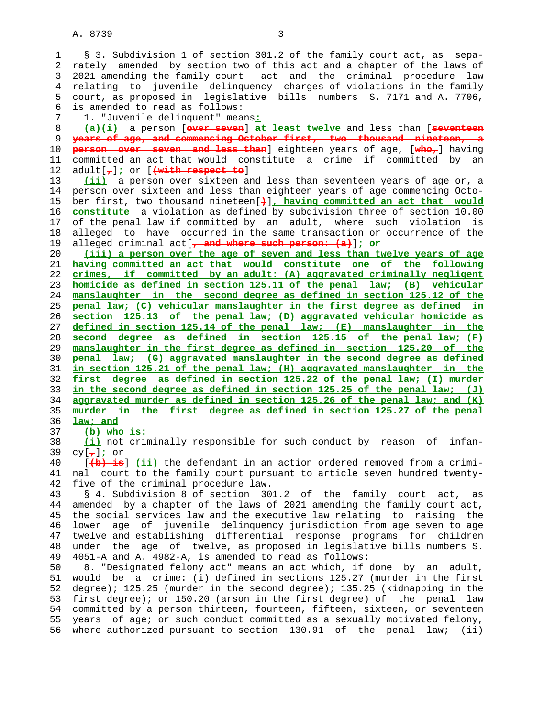A. 8739 3

 1 § 3. Subdivision 1 of section 301.2 of the family court act, as sepa- 2 rately amended by section two of this act and a chapter of the laws of 3 2021 amending the family court act and the criminal procedure law 4 relating to juvenile delinquency charges of violations in the family 5 court, as proposed in legislative bills numbers S. 7171 and A. 7706, 6 is amended to read as follows: 7 1. "Juvenile delinquent" means**:** 8 **(a)(i)** a person [**over seven**] **at least twelve** and less than [**seventeen** 9 **years of age, and commencing October first, two thousand nineteen, a** 10 **person over seven and less than**] eighteen years of age, [**who,**] having 11 committed an act that would constitute a crime if committed by an 12 adult[**,**]**;** or [**(with respect to**] 13 **(ii)** a person over sixteen and less than seventeen years of age or, a 14 person over sixteen and less than eighteen years of age commencing Octo- 15 ber first, two thousand nineteen[**)**]**, having committed an act that would** 16 **constitute** a violation as defined by subdivision three of section 10.00 17 of the penal law if committed by an adult, where such violation is 18 alleged to have occurred in the same transaction or occurrence of the 19 alleged criminal act[**, and where such person: (a)**]**; or** 20 **(iii) a person over the age of seven and less than twelve years of age** 21 **having committed an act that would constitute one of the following** 22 **crimes, if committed by an adult: (A) aggravated criminally negligent** 23 **homicide as defined in section 125.11 of the penal law; (B) vehicular** 24 **manslaughter in the second degree as defined in section 125.12 of the** 25 **penal law; (C) vehicular manslaughter in the first degree as defined in** 26 **section 125.13 of the penal law; (D) aggravated vehicular homicide as** 27 **defined in section 125.14 of the penal law; (E) manslaughter in the** 28 **second degree as defined in section 125.15 of the penal law; (F)** 29 **manslaughter in the first degree as defined in section 125.20 of the** 30 **penal law; (G) aggravated manslaughter in the second degree as defined** 31 **in section 125.21 of the penal law; (H) aggravated manslaughter in the** 32 **first degree as defined in section 125.22 of the penal law; (I) murder** 33 **in the second degree as defined in section 125.25 of the penal law; (J)** 34 **aggravated murder as defined in section 125.26 of the penal law; and (K)** 35 **murder in the first degree as defined in section 125.27 of the penal** 36 **law; and** 37 **(b) who is:** 38 **(i)** not criminally responsible for such conduct by reason of infan- 39 cy[**,**]**;** or 40 [**(b) is**] **(ii)** the defendant in an action ordered removed from a crimi- 41 nal court to the family court pursuant to article seven hundred twenty- 42 five of the criminal procedure law. 43 § 4. Subdivision 8 of section 301.2 of the family court act, as 44 amended by a chapter of the laws of 2021 amending the family court act, 45 the social services law and the executive law relating to raising the 46 lower age of juvenile delinquency jurisdiction from age seven to age 47 twelve and establishing differential response programs for children 48 under the age of twelve, as proposed in legislative bills numbers S. 49 4051-A and A. 4982-A, is amended to read as follows: 50 8. "Designated felony act" means an act which, if done by an adult, 51 would be a crime: (i) defined in sections 125.27 (murder in the first 52 degree); 125.25 (murder in the second degree); 135.25 (kidnapping in the 53 first degree); or 150.20 (arson in the first degree) of the penal law 54 committed by a person thirteen, fourteen, fifteen, sixteen, or seventeen 55 years of age; or such conduct committed as a sexually motivated felony, 56 where authorized pursuant to section 130.91 of the penal law; (ii)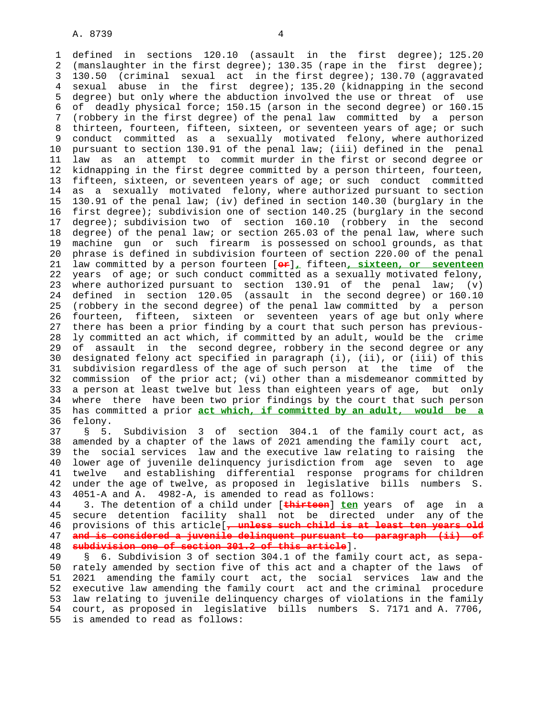1 defined in sections 120.10 (assault in the first degree); 125.20 2 (manslaughter in the first degree); 130.35 (rape in the first degree); 3 130.50 (criminal sexual act in the first degree); 130.70 (aggravated 4 sexual abuse in the first degree); 135.20 (kidnapping in the second 5 degree) but only where the abduction involved the use or threat of use 6 of deadly physical force; 150.15 (arson in the second degree) or 160.15 7 (robbery in the first degree) of the penal law committed by a person 8 thirteen, fourteen, fifteen, sixteen, or seventeen years of age; or such 9 conduct committed as a sexually motivated felony, where authorized<br>10 pursuant to section 130.91 of the penal law; (iii) defined in the penal pursuant to section 130.91 of the penal law; (iii) defined in the penal 11 law as an attempt to commit murder in the first or second degree or 12 kidnapping in the first degree committed by a person thirteen, fourteen, 13 fifteen, sixteen, or seventeen years of age; or such conduct committed 14 as a sexually motivated felony, where authorized pursuant to section 15 130.91 of the penal law; (iv) defined in section 140.30 (burglary in the 16 first degree); subdivision one of section 140.25 (burglary in the second 17 degree); subdivision two of section 160.10 (robbery in the second 18 degree) of the penal law; or section 265.03 of the penal law, where such 19 machine gun or such firearm is possessed on school grounds, as that 20 phrase is defined in subdivision fourteen of section 220.00 of the penal 21 law committed by a person fourteen [**or**]**,** fifteen**, sixteen, or seventeen** 22 years of age; or such conduct committed as a sexually motivated felony, 23 where authorized pursuant to section 130.91 of the penal law; (v) 24 defined in section 120.05 (assault in the second degree) or 160.10 25 (robbery in the second degree) of the penal law committed by a person 26 fourteen, fifteen, sixteen or seventeen years of age but only where 27 there has been a prior finding by a court that such person has previous- 28 ly committed an act which, if committed by an adult, would be the crime 29 of assault in the second degree, robbery in the second degree or any 30 designated felony act specified in paragraph (i), (ii), or (iii) of this 31 subdivision regardless of the age of such person at the time of the 32 commission of the prior act; (vi) other than a misdemeanor committed by 33 a person at least twelve but less than eighteen years of age, but only 34 where there have been two prior findings by the court that such person 35 has committed a prior **act which, if committed by an adult, would be a** 36 felony.

 37 § 5. Subdivision 3 of section 304.1 of the family court act, as 38 amended by a chapter of the laws of 2021 amending the family court act, 39 the social services law and the executive law relating to raising the 40 lower age of juvenile delinquency jurisdiction from age seven to age 41 twelve and establishing differential response programs for children 42 under the age of twelve, as proposed in legislative bills numbers S. 43 4051-A and A. 4982-A, is amended to read as follows:

 44 3. The detention of a child under [**thirteen**] **ten** years of age in a 45 secure detention facility shall not be directed under any of the 46 provisions of this article[**, unless such child is at least ten years old** 47 **and is considered a juvenile delinquent pursuant to paragraph (ii) of** 48 **subdivision one of section 301.2 of this article**].

 49 § 6. Subdivision 3 of section 304.1 of the family court act, as sepa- 50 rately amended by section five of this act and a chapter of the laws of 51 2021 amending the family court act, the social services law and the 52 executive law amending the family court act and the criminal procedure 53 law relating to juvenile delinquency charges of violations in the family 54 court, as proposed in legislative bills numbers S. 7171 and A. 7706, 55 is amended to read as follows: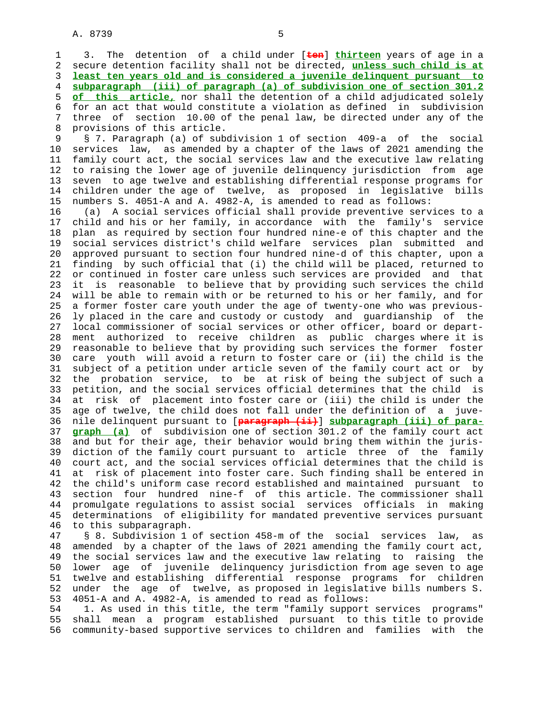1 3. The detention of a child under [**ten**] **thirteen** years of age in a 2 secure detention facility shall not be directed, **unless such child is at** 3 **least ten years old and is considered a juvenile delinquent pursuant to** 4 **subparagraph (iii) of paragraph (a) of subdivision one of section 301.2** 5 **of this article,** nor shall the detention of a child adjudicated solely 6 for an act that would constitute a violation as defined in subdivision 7 three of section 10.00 of the penal law, be directed under any of the 8 provisions of this article.

 9 § 7. Paragraph (a) of subdivision 1 of section 409-a of the social 10 services law, as amended by a chapter of the laws of 2021 amending the 11 family court act, the social services law and the executive law relating 12 to raising the lower age of juvenile delinquency jurisdiction from age 13 seven to age twelve and establishing differential response programs for 14 children under the age of twelve, as proposed in legislative bills 15 numbers S. 4051-A and A. 4982-A, is amended to read as follows:

 16 (a) A social services official shall provide preventive services to a 17 child and his or her family, in accordance with the family's service 18 plan as required by section four hundred nine-e of this chapter and the 19 social services district's child welfare services plan submitted and 20 approved pursuant to section four hundred nine-d of this chapter, upon a 21 finding by such official that (i) the child will be placed, returned to 22 or continued in foster care unless such services are provided and that 23 it is reasonable to believe that by providing such services the child 24 will be able to remain with or be returned to his or her family, and for 25 a former foster care youth under the age of twenty-one who was previous- 26 ly placed in the care and custody or custody and guardianship of the 27 local commissioner of social services or other officer, board or depart- 28 ment authorized to receive children as public charges where it is 29 reasonable to believe that by providing such services the former foster 30 care youth will avoid a return to foster care or (ii) the child is the 31 subject of a petition under article seven of the family court act or by 32 the probation service, to be at risk of being the subject of such a 33 petition, and the social services official determines that the child is 34 at risk of placement into foster care or (iii) the child is under the 35 age of twelve, the child does not fall under the definition of a juve- 36 nile delinquent pursuant to [**paragraph (ii)**] **subparagraph (iii) of para-** 37 **graph (a)** of subdivision one of section 301.2 of the family court act 38 and but for their age, their behavior would bring them within the juris- 39 diction of the family court pursuant to article three of the family 40 court act, and the social services official determines that the child is 41 at risk of placement into foster care. Such finding shall be entered in 42 the child's uniform case record established and maintained pursuant to 43 section four hundred nine-f of this article. The commissioner shall 44 promulgate regulations to assist social services officials in making 45 determinations of eligibility for mandated preventive services pursuant 46 to this subparagraph.

 47 § 8. Subdivision 1 of section 458-m of the social services law, as 48 amended by a chapter of the laws of 2021 amending the family court act, 49 the social services law and the executive law relating to raising the 50 lower age of juvenile delinquency jurisdiction from age seven to age 51 twelve and establishing differential response programs for children 52 under the age of twelve, as proposed in legislative bills numbers S. 53 4051-A and A. 4982-A, is amended to read as follows:

 54 1. As used in this title, the term "family support services programs" 55 shall mean a program established pursuant to this title to provide 56 community-based supportive services to children and families with the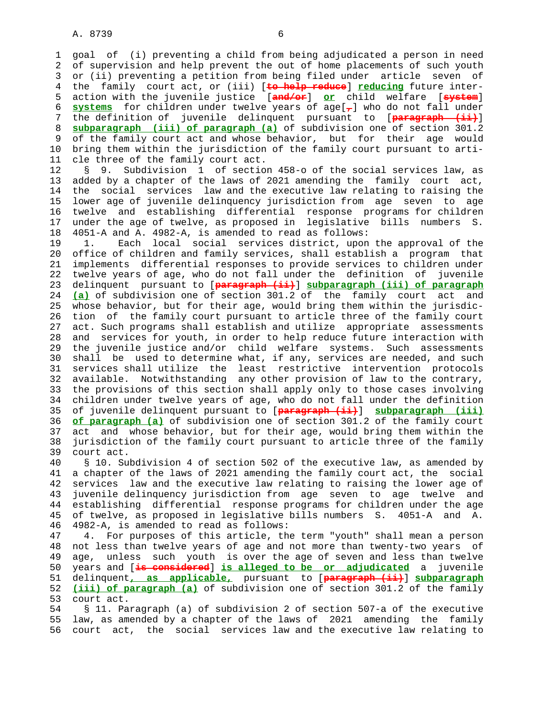1 goal of (i) preventing a child from being adjudicated a person in need 2 of supervision and help prevent the out of home placements of such youth 3 or (ii) preventing a petition from being filed under article seven of 4 the family court act, or (iii) [**to help reduce**] **reducing** future inter- 5 action with the juvenile justice [**and/or**] **or** child welfare [**system**] 6 **systems** for children under twelve years of age[**,**] who do not fall under 7 the definition of juvenile delinquent pursuant to [**paragraph (ii)**] 8 **subparagraph (iii) of paragraph (a)** of subdivision one of section 301.2 9 of the family court act and whose behavior, but for their age would 10 bring them within the jurisdiction of the family court pursuant to arti- 11 cle three of the family court act.

 12 § 9. Subdivision 1 of section 458-o of the social services law, as 13 added by a chapter of the laws of 2021 amending the family court act, 14 the social services law and the executive law relating to raising the 15 lower age of juvenile delinquency jurisdiction from age seven to age 16 twelve and establishing differential response programs for children 17 under the age of twelve, as proposed in legislative bills numbers S. 18 4051-A and A. 4982-A, is amended to read as follows:

 19 1. Each local social services district, upon the approval of the 20 office of children and family services, shall establish a program that 21 implements differential responses to provide services to children under 22 twelve years of age, who do not fall under the definition of juvenile 23 delinquent pursuant to [**paragraph (ii)**] **subparagraph (iii) of paragraph** 24 **(a)** of subdivision one of section 301.2 of the family court act and 25 whose behavior, but for their age, would bring them within the jurisdic- 26 tion of the family court pursuant to article three of the family court 27 act. Such programs shall establish and utilize appropriate assessments 28 and services for youth, in order to help reduce future interaction with 29 the juvenile justice and/or child welfare systems. Such assessments 30 shall be used to determine what, if any, services are needed, and such 31 services shall utilize the least restrictive intervention protocols 32 available. Notwithstanding any other provision of law to the contrary, 33 the provisions of this section shall apply only to those cases involving 34 children under twelve years of age, who do not fall under the definition 35 of juvenile delinquent pursuant to [**paragraph (ii)**] **subparagraph (iii)** 36 **of paragraph (a)** of subdivision one of section 301.2 of the family court 37 act and whose behavior, but for their age, would bring them within the 38 jurisdiction of the family court pursuant to article three of the family 39 court act.

 40 § 10. Subdivision 4 of section 502 of the executive law, as amended by 41 a chapter of the laws of 2021 amending the family court act, the social 42 services law and the executive law relating to raising the lower age of 43 juvenile delinquency jurisdiction from age seven to age twelve and 44 establishing differential response programs for children under the age 45 of twelve, as proposed in legislative bills numbers S. 4051-A and A. 46 4982-A, is amended to read as follows:

 47 4. For purposes of this article, the term "youth" shall mean a person 48 not less than twelve years of age and not more than twenty-two years of 49 age, unless such youth is over the age of seven and less than twelve 50 years and [**is considered**] **is alleged to be or adjudicated** a juvenile 51 delinquent**, as applicable,** pursuant to [**paragraph (ii)**] **subparagraph** 52 **(iii) of paragraph (a)** of subdivision one of section 301.2 of the family 53 court act.

 54 § 11. Paragraph (a) of subdivision 2 of section 507-a of the executive 55 law, as amended by a chapter of the laws of 2021 amending the family 56 court act, the social services law and the executive law relating to